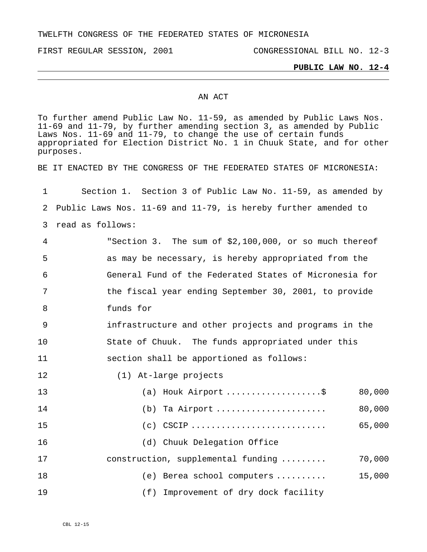TWELFTH CONGRESS OF THE FEDERATED STATES OF MICRONESIA

FIRST REGULAR SESSION, 2001 CONGRESSIONAL BILL NO. 12-3

## **PUBLIC LAW NO. 12-4**

## AN ACT

To further amend Public Law No. 11-59, as amended by Public Laws Nos. 11-69 and 11-79, by further amending section 3, as amended by Public Laws Nos. 11-69 and 11-79, to change the use of certain funds appropriated for Election District No. 1 in Chuuk State, and for other purposes.

BE IT ENACTED BY THE CONGRESS OF THE FEDERATED STATES OF MICRONESIA:

1 2 Public Laws Nos. 11-69 and 11-79, is hereby further amended to 3 read as follows: Section 1. Section 3 of Public Law No. 11-59, as amended by

4 5 6 7 8 "Section 3. The sum of \$2,100,000, or so much thereof as may be necessary, is hereby appropriated from the General Fund of the Federated States of Micronesia for the fiscal year ending September 30, 2001, to provide funds for

9 10 11 infrastructure and other projects and programs in the State of Chuuk. The funds appropriated under this section shall be apportioned as follows:

12 (1) At-large projects

| 13 | (a) Houk Airport \$                               | 80,000 |
|----|---------------------------------------------------|--------|
| 14 | $(b)$ Ta Airport                                  | 80,000 |
| 15 | $(c)$ CSCIP                                       | 65,000 |
| 16 | (d) Chuuk Delegation Office                       |        |
| 17 | construction, supplemental funding                | 70,000 |
| 18 | (e) Berea school computers $\ldots \ldots \ldots$ | 15,000 |
| 19 | (f) Improvement of dry dock facility              |        |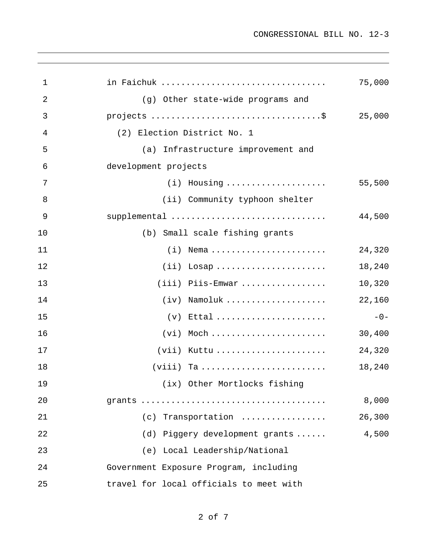| $\mathbf 1$ | in Faichuk                              | 75,000 |
|-------------|-----------------------------------------|--------|
| 2           | (g) Other state-wide programs and       |        |
| 3           |                                         | 25,000 |
| 4           | (2) Election District No. 1             |        |
| 5           | (a)<br>Infrastructure improvement and   |        |
| 6           | development projects                    |        |
| 7           | $(i)$ Housing                           | 55,500 |
| 8           | (ii) Community typhoon shelter          |        |
| 9           | supplemental                            | 44,500 |
| 10          | (b) Small scale fishing grants          |        |
| 11          | $(i)$ Nema                              | 24,320 |
| 12          | $(ii)$ Losap                            | 18,240 |
| 13          | $(iii)$ Piis-Emwar                      | 10,320 |
| 14          | $(iv)$ Namoluk                          | 22,160 |
| 15          | $(v)$ Ettal                             | $-0-$  |
| 16          | $(vi)$ Moch                             | 30,400 |
| 17          | $(vii)$ Kuttu                           | 24,320 |
| 18          |                                         | 18,240 |
| 19          | (ix) Other Mortlocks fishing            |        |
| 20          |                                         | 8,000  |
| 21          | (c) Transportation                      | 26,300 |
| 22          | (d) Piggery development grants          | 4,500  |
| 23          | (e) Local Leadership/National           |        |
| 24          | Government Exposure Program, including  |        |
| 25          | travel for local officials to meet with |        |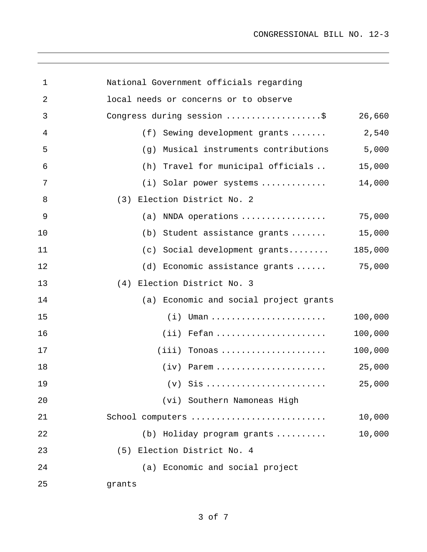CONGRESSIONAL BILL NO. 12-3

| 1  | National Government officials regarding                  |         |
|----|----------------------------------------------------------|---------|
| 2  | local needs or concerns or to observe                    |         |
| 3  | Congress during session \$                               | 26,660  |
| 4  | (f) Sewing development grants                            | 2,540   |
| 5  | (g) Musical instruments contributions                    | 5,000   |
| 6  | (h) Travel for municipal officials                       | 15,000  |
| 7  | (i) Solar power systems                                  | 14,000  |
| 8  | (3) Election District No. 2                              |         |
| 9  | (a) NNDA operations $\ldots \ldots \ldots \ldots \ldots$ | 75,000  |
| 10 | (b) Student assistance grants                            | 15,000  |
| 11 | (c) Social development grants                            | 185,000 |
| 12 | (d) Economic assistance grants                           | 75,000  |
| 13 | (4) Election District No. 3                              |         |
| 14 | (a) Economic and social project grants                   |         |
| 15 |                                                          | 100,000 |
| 16 | $(i)$ Fefan                                              | 100,000 |
| 17 | $(iii)$ Tonoas                                           | 100,000 |
| 18 | $(iv)$ Parem                                             | 25,000  |
| 19 |                                                          | 25,000  |
| 20 | (vi) Southern Namoneas High                              |         |
| 21 | School computers                                         | 10,000  |
| 22 | (b) Holiday program grants                               | 10,000  |
| 23 | (5) Election District No. 4                              |         |
| 24 | (a) Economic and social project                          |         |
| 25 | grants                                                   |         |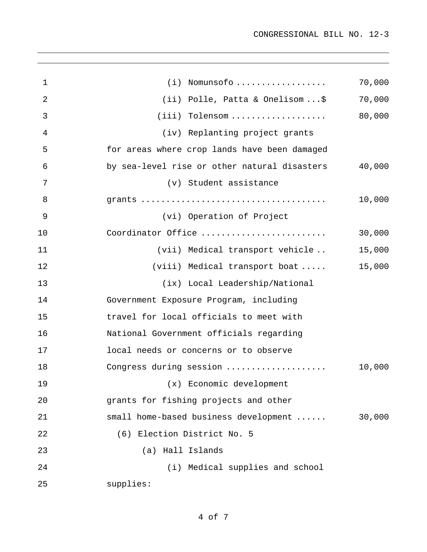| $\mathbf 1$    | $(i)$ Nomunsofo                              | 70,000 |
|----------------|----------------------------------------------|--------|
| $\overline{2}$ | (ii) Polle, Patta & Onelisom\$               | 70,000 |
| 3              | $(iii)$ Tolensom                             | 80,000 |
| 4              | (iv) Replanting project grants               |        |
| 5              | for areas where crop lands have been damaged |        |
| 6              | by sea-level rise or other natural disasters | 40,000 |
| 7              | (v) Student assistance                       |        |
| 8              |                                              | 10,000 |
| 9              | (vi) Operation of Project                    |        |
| 10             | Coordinator Office                           | 30,000 |
| 11             | (vii) Medical transport vehicle              | 15,000 |
| 12             | (viii) Medical transport boat                | 15,000 |
| 13             | (ix) Local Leadership/National               |        |
| 14             | Government Exposure Program, including       |        |
| 15             | travel for local officials to meet with      |        |
| 16             | National Government officials regarding      |        |
| 17             | local needs or concerns or to observe        |        |
| 18             | Congress during session                      | 10,000 |
| 19             | (x) Economic development                     |        |
| 20             | grants for fishing projects and other        |        |
| 21             | small home-based business development        | 30,000 |
| 22             | (6) Election District No. 5                  |        |
| 23             | (a) Hall Islands                             |        |
| 24             | (i) Medical supplies and school              |        |
| 25             | supplies:                                    |        |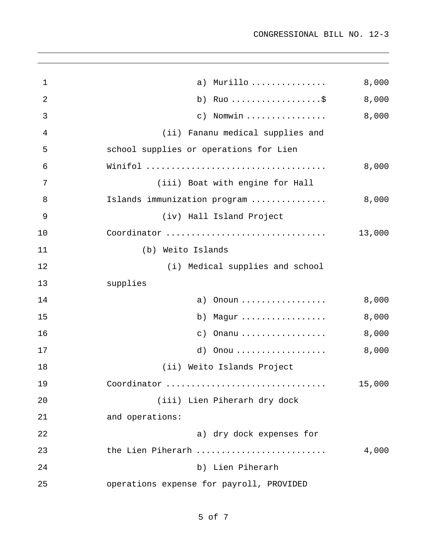| 1              | Murillo<br>a)                            | 8,000  |
|----------------|------------------------------------------|--------|
| $\overline{2}$ | b)                                       | 8,000  |
| 3              | Nomwin<br>$\circ$ )                      | 8,000  |
| 4              | (ii) Fananu medical supplies and         |        |
| 5              | school supplies or operations for Lien   |        |
| 6              |                                          | 8,000  |
| 7              | (iii) Boat with engine for Hall          |        |
| 8              | Islands immunization program             | 8,000  |
| 9              | (iv) Hall Island Project                 |        |
| 10             | Coordinator                              | 13,000 |
| 11             | Weito Islands<br>(b)                     |        |
| 12             | (i) Medical supplies and school          |        |
| 13             | supplies                                 |        |
| 14             | Onoun<br>a)                              | 8,000  |
| 15             | Magur<br>b)                              | 8,000  |
| 16             | Onanu<br>$\circ$ )                       | 8,000  |
| 17             | Onou<br>d)                               | 8,000  |
| 18             | (ii) Weito Islands Project               |        |
| 19             | Coordinator                              | 15,000 |
| 20             | (iii) Lien Piherarh dry dock             |        |
| 21             | and operations:                          |        |
| 22             | a) dry dock expenses for                 |        |
| 23             | the Lien Piherarh                        | 4,000  |
| 24             | b) Lien Piherarh                         |        |
| 25             | operations expense for payroll, PROVIDED |        |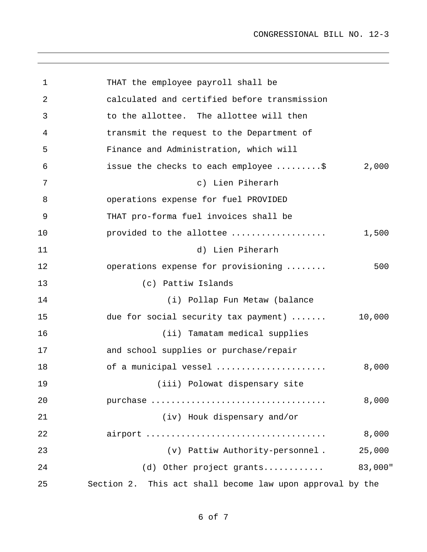```
1 
 2 
 3 
 4 
 5 
 6 
 7 
 8 
 9 
10 
11 
12 
13 
14 
15 
16 
17 
18 
19 
20 
21 
22 
23 
24 
25 
             THAT the employee payroll shall be 
              calculated and certified before transmission 
              to the allottee. The allottee will then 
             transmit the request to the Department of 
             Finance and Administration, which will 
              issue the checks to each employee .........$ 2,000
                                c) Lien Piherarh 
              operations expense for fuel PROVIDED 
             THAT pro-forma fuel invoices shall be 
             provided to the allottee ................... 1,500 
                                d) Lien Piherarh 
              operations expense for provisioning ........ 500 
                      (c) Pattiw Islands 
                          (i) Pollap Fun Metaw (balance 
             due for social security tax payment) ....... 10,000 
                         (ii) Tamatam medical supplies 
              and school supplies or purchase/repair 
             of a municipal vessel ...................... 8,000 
                        (iii) Polowat dispensary site 
             purchase ................................... 8,000 
                         (iv) Houk dispensary and/or 
              airport .................................... 8,000 
                           (v) Pattiw Authority-personnel . 25,000 
                     (d) Other project grants............ 83,000" 
           Section 2. This act shall become law upon approval by the
```